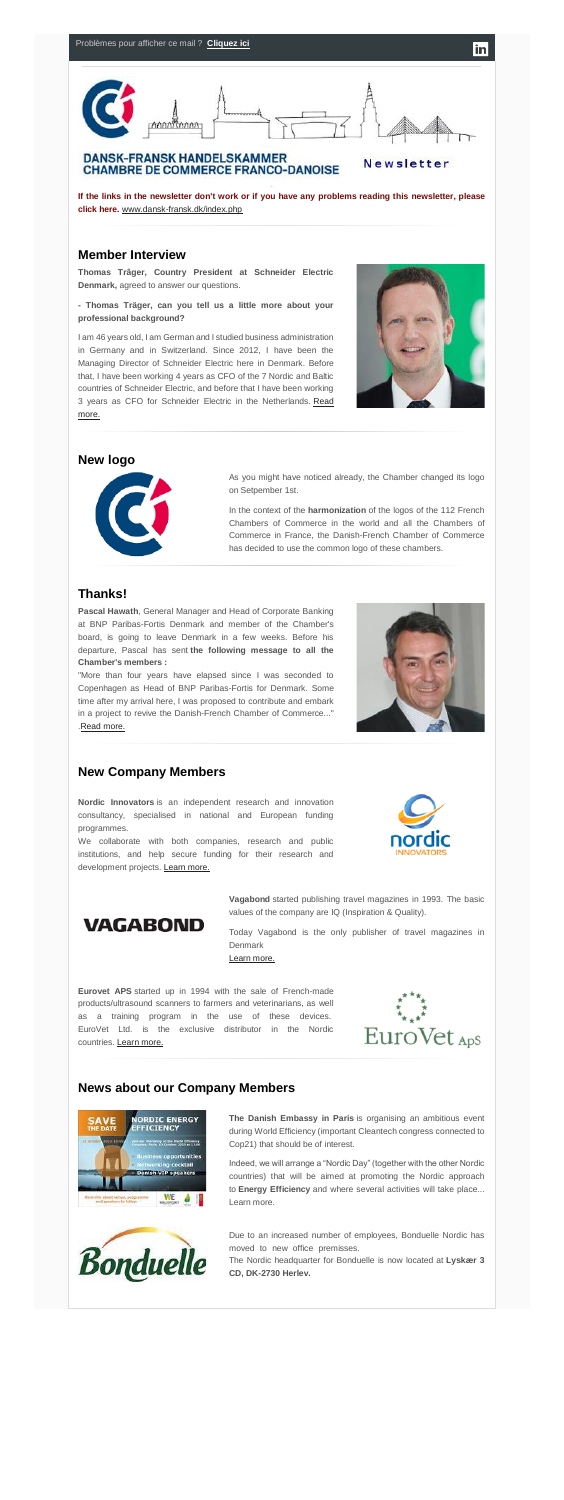

**If the links in the newsletter don't work or if you have any problems reading this newsletter, please click here.** [www.dansk-fransk.dk/index.php](http://www.dansk-fransk.dk/index.php?id=38144)

## **Member Interview**

**Thomas Trâger, Country President at Schneider Electric Denmark,** agreed to answer our questions.

**- Thomas Träger, can you tell us a little more about your professional background?**

I am 46 years old, I am German and I studied business administration in Germany and in Switzerland. Since 2012, I have been the Managing Director of Schneider Electric here in Denmark. Before that, I have been working 4 years as CFO of the 7 Nordic and Baltic countries of Schneider Electric, and before that I have been working 3 years as CFO for Schneider Electric in the Netherlands. Read [more.](http://www.dansk-fransk.dk/index.php?id=8535)



in

"More than four years have elapsed since I was seconded to Copenhagen as Head of BNP Paribas-Fortis for Denmark. Some time after my arrival here, I was proposed to contribute and embark in a project to revive the Danish-French Chamber of Commerce..." [.Read more.](http://www.dansk-fransk.dk/index.php?id=8539)



### **New logo**



As you might have noticed already, the Chamber changed its logo on Setpember 1st.

We collaborate with both companies, research and public institutions, and help secure funding for their research and development projects. [Learn more.](http://www.dansk-fransk.dk/index.php?id=8542)



**VAGABOND** 

In the context of the **harmonization** of the logos of the 112 French Chambers of Commerce in the world and all the Chambers of Commerce in France, the Danish-French Chamber of Commerce has decided to use the common logo of these chambers.

## **Thanks!**

**Pascal Hawath**, General Manager and Head of Corporate Banking at BNP Paribas-Fortis Denmark and member of the Chamber's board, is going to leave Denmark in a few weeks. Before his departure, Pascal has sent **the following message to all the Chamber's members :………………………………………………….**

> Due to an increased number of employees, Bonduelle Nordic has moved to new office premisses.

## **New Company Members**

**Nordic Innovators** is an independent research and innovation consultancy, specialised in national and European funding programmes.

> **Vagabond** started publishing travel magazines in 1993. The basic values of the company are IQ (Inspiration & Quality).

> Today Vagabond is the only publisher of travel magazines in Denmark

[Learn more.](http://www.dansk-fransk.dk/index.php?id=8541)

**Eurovet APS** started up in 1994 with the sale of French-made products/ultrasound scanners to farmers and veterinarians, as well as a training program in the use of these devices. EuroVet Ltd. is the exclusive distributor in the Nordic countries. [Learn more.](http://www.dansk-fransk.dk/index.php?id=8536)



# **News about our Company Members**



**The Danish Embassy in Paris** is organising an ambitious event during World Efficiency (important Cleantech congress connected to Cop21) that should be of interest.

Indeed, we will arrange a "Nordic Day" (together with the other Nordic countries) that will be aimed at promoting the Nordic approach to **Energy Efficiency** and where several activities will take place... Learn more.



The Nordic headquarter for Bonduelle is now located at **Lyskær 3 CD, DK-2730 Herlev.**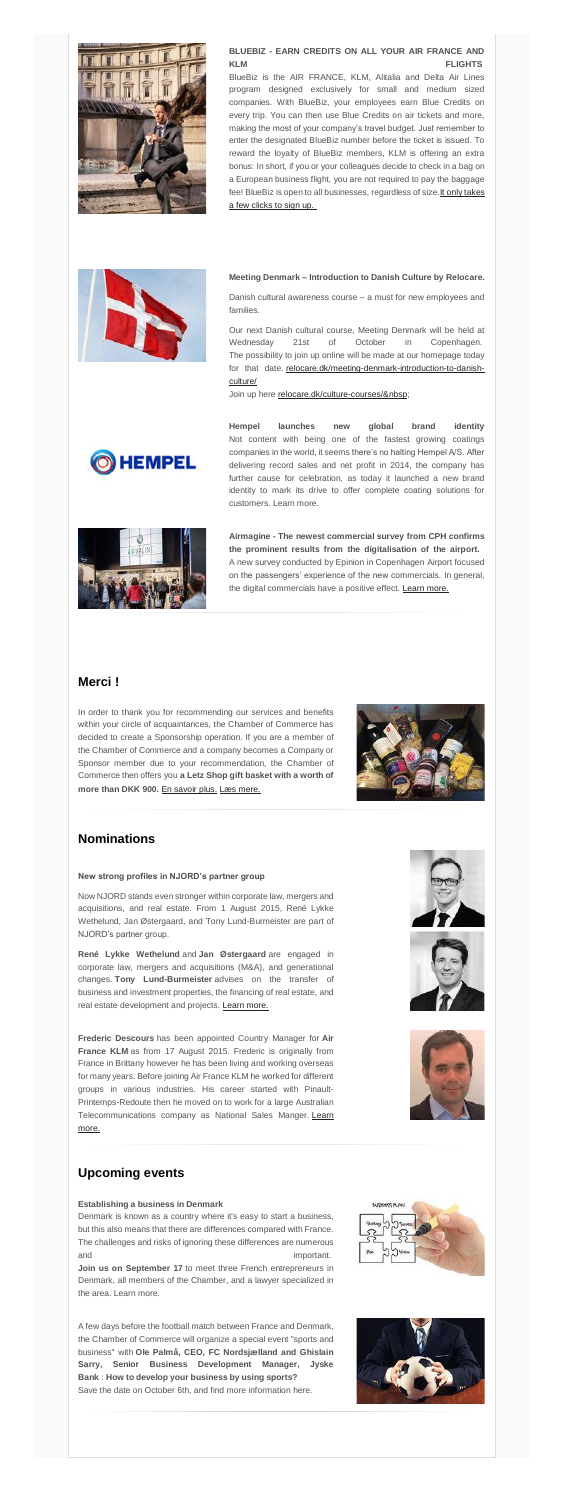

## **BLUEBIZ - EARN CREDITS ON ALL YOUR AIR FRANCE AND KLM FLIGHTS**

BlueBiz is the AIR FRANCE, KLM, Alitalia and Delta Air Lines program designed exclusively for small and medium sized companies. With BlueBiz, your employees earn Blue Credits on every trip. You can then use Blue Credits on air tickets and more, making the most of your company's travel budget. Just remember to enter the designated BlueBiz number before the ticket is issued. To reward the loyalty of BlueBiz members, KLM is offering an extra bonus: In short, if you or your colleagues decide to check in a bag on a European business flight, you are not required to pay the baggage fee! BlueBiz is open to all businesses, regardless of size[.It only takes](https://www.klm.com/travel/dk_en/business/jsme/register/index.htm)  [a few clicks to sign up.](https://www.klm.com/travel/dk_en/business/jsme/register/index.htm)

### **Meeting Denmark – Introduction to Danish Culture by Relocare.**

Danish cultural awareness course – a must for new employees and families.

Our next Danish cultural course, Meeting Denmark will be held at Wednesday 21st of October in Copenhagen. The possibility to join up online will be made at our homepage today for that date. [relocare.dk/meeting-denmark-introduction-to-danish](http://relocare.dk/meeting-denmark-introduction-to-danish-culture/)[culture/](http://relocare.dk/meeting-denmark-introduction-to-danish-culture/)

Join up here relocare.dk/culture-courses/



**Hempel launches new global brand identity** Not content with being one of the fastest growing coatings companies in the world, it seems there's no halting Hempel A/S. After delivering record sales and net profit in 2014, the company has further cause for celebration, as today it launched a new brand identity to mark its drive to offer complete coating solutions for customers. Learn more.



Denmark is known as a country where it's easy to start a business, but this also means that there are differences compared with France. The challenges and risks of ignoring these differences are numerous and important.

**Airmagine - The newest commercial survey from CPH confirms the prominent results from the digitalisation of the airport.** A new survey conducted by Epinion in Copenhagen Airport focused on the passengers' experience of the new commercials. In general, the digital commercials have a positive effect. [Learn more.](http://airmagine.dk/news-press/news-archieve/2015/effect-extensive-commercial-survey-in-cph/)

## **Merci !**

In order to thank you for recommending our services and benefits within your circle of acquaintances, the Chamber of Commerce has decided to create a Sponsorship operation. If you are a member of the Chamber of Commerce and a company becomes a Company or Sponsor member due to your recommendation, the Chamber of Commerce then offers you **a Letz Shop gift basket with a worth of more than DKK 900.** [En savoir plus.](http://www.dansk-fransk.dk/adhesion/parrainage/) [Læs mere.](http://www.dansk-fransk.dk/dk/indmeldelse/parrainage/)



# **Nominations**

### **New strong profiles in NJORD's partner group**

Now NJORD stands even stronger within corporate law, mergers and acquisitions, and real estate. From 1 August 2015, René Lykke Wethelund, Jan Østergaard, and Tony Lund-Burmeister are part of NJORD's partner group.

**René Lykke Wethelund** and **Jan Østergaard** are engaged in corporate law, mergers and acquisitions (M&A), and generational changes. **Tony Lund-Burmeister** advises on the transfer of business and investment properties, the financing of real estate, and real estate development and projects. [Learn more.](http://www.dansk-fransk.dk/index.php?id=8538)

**Frederic Descours** has been appointed Country Manager for **Air France KLM** as from 17 August 2015. Frederic is originally from France in Brittany however he has been living and working overseas for many years. Before joining Air France KLM he worked for different groups in various industries. His career started with Pinault-Printemps-Redoute then he moved on to work for a large Australian Telecommunications company as National Sales Manger. Learn [more.](http://www.dansk-fransk.dk/index.php?id=8537)





## **Upcoming events**

### **Establishing a business in Denmark…………………………………**

**Join us on September 17** to meet three French entrepreneurs in Denmark, all members of the Chamber, and a lawyer specialized in the area. Learn more.

A few days before the football match between France and Denmark, the Chamber of Commerce will organize a special event "sports and business" with **Ole Palmå, CEO, FC Nordsjælland and Ghislain Sarry, Senior Business Development Manager, Jyske Bank** : **How to develop your business by using sports? …………** Save the date on October 6th, and find more information here.